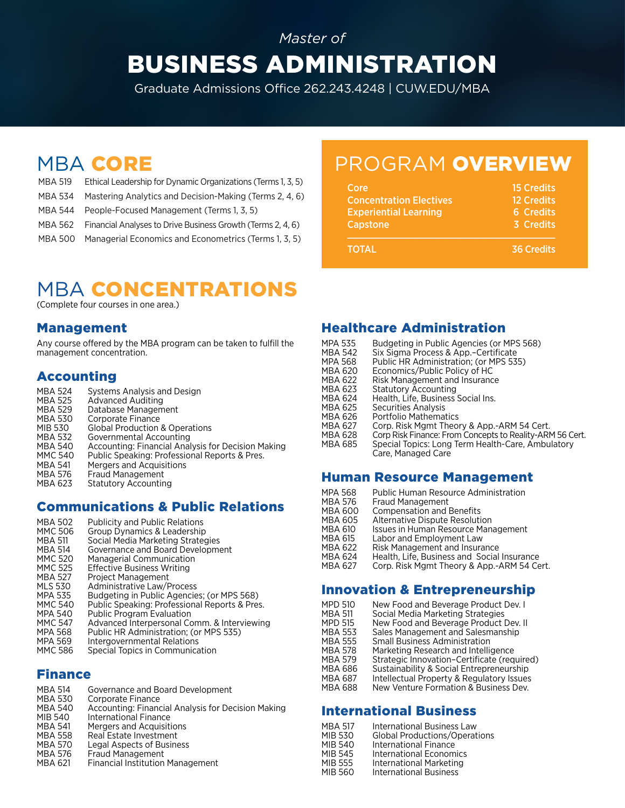# *Master of* BUSINESS ADMINISTRATION

Graduate Admissions Office 262.243.4248 | CUW.EDU/MBA

- MBA 519 Ethical Leadership for Dynamic Organizations (Terms 1, 3, 5) MBA 534 Mastering Analytics and Decision-Making (Terms 2, 4, 6)
- MBA 544 People-Focused Management (Terms 1, 3, 5)
- MBA 562 Financial Analyses to Drive Business Growth (Terms 2, 4, 6)
- MBA 500 Managerial Economics and Econometrics (Terms 1, 3, 5)

# MBA CORE PROGRAM OVERVIEW

| Core                           | <b>15 Credits</b> |
|--------------------------------|-------------------|
| <b>Concentration Electives</b> | <b>12 Credits</b> |
| <b>Experiential Learning</b>   | <b>6 Credits</b>  |
| Capstone                       | 3 Credits         |
|                                |                   |
| <b>TOTAL</b>                   | <b>36 Credits</b> |

# **MBA CONCENTRATIONS**

(Complete four courses in one area.)

#### Management

Any course offered by the MBA program can be taken to fulfill the management concentration.

#### Accounting

| MBA 524        | Systems Analysis and Design                        |
|----------------|----------------------------------------------------|
| MBA 525        | Advanced Auditing                                  |
| MBA 529        | Database Management                                |
| MBA 530        | Corporate Finance                                  |
| MIB 530        | <b>Global Production &amp; Operations</b>          |
| MBA 532        | Governmental Accounting                            |
| MBA 540        | Accounting: Financial Analysis for Decision Making |
| MMC 540        | Public Speaking: Professional Reports & Pres.      |
| <b>MBA 541</b> | Mergers and Acquisitions                           |
| MBA 576        | <b>Fraud Management</b>                            |
| MBA 623        | <b>Statutory Accounting</b>                        |

#### Communications & Public Relations

MBA 502 Publicity and Public Relations<br>MMC 506 Group Dynamics & Leadership Group Dynamics & Leadership MBA 511 Social Media Marketing Strategies<br>MBA 514 Governance and Board Developme MBA 514 Governance and Board Development<br>MMC 520 Managerial Communication MMC 520 Managerial Communication<br>MMC 525 Effective Business Writing MMC 525 Effective Business Writing<br>MBA 527 Project Management Project Management MLS 530 Administrative Law/Process<br>MPA 535 Budgeting in Public Agencie MPA 535 Budgeting in Public Agencies; (or MPS 568)<br>MMC 540 Public Speaking: Professional Reports & Pre MMC 540 Public Speaking: Professional Reports & Pres.<br>MPA 540 Public Program Evaluation MPA 540 Public Program Evaluation<br>MMC 547 Advanced Interpersonal Co MMC 547 Advanced Interpersonal Comm. & Interviewing MPA 568 Public HR Administration; (or MPS 535)<br>MPA 569 Intergovernmental Relations Intergovernmental Relations MMC 586 Special Topics in Communication

#### Finance

- MBA 514 Governance and Board Development<br>MBA 530 Corporate Finance MBA 530 Corporate Finance<br>MBA 540 Accounting: Financ MBA 540 Accounting: Financial Analysis for Decision Making MIB 540 International Finance<br>MBA 541 Mergers and Acquisiti MBA 541 Mergers and Acquisitions<br>MBA 558 Real Estate Investment MBA 558 Real Estate Investment<br>MBA 570 Legal Aspects of Busing MBA 570 Legal Aspects of Business<br>MBA 576 Fraud Management MBA 576 Fraud Management<br>MBA 621 Financial Institution
- **Financial Institution Management**

#### Healthcare Administration

- MPA 535 Budgeting in Public Agencies (or MPS 568)<br>MBA 542 Six Sigma Process & App.-Certificate
- MBA 542 Six Sigma Process & App.–Certificate<br>MPA 568 Public HR Administration: Cor MPS 53
- MPA 568 Public HR Administration; (or MPS 535)<br>MBA 620 Economics/Public Policy of HC
- MBA 620 Economics/Public Policy of HC<br>MBA 622 Risk Management and Insuranc
- MBA 622 Risk Management and Insurance<br>MBA 623 Statutory Accounting
- MBA 623 Statutory Accounting<br>MBA 624 Health, Life, Business MBA 624 Health, Life, Business Social Ins.<br>MBA 625 Securities Analysis
- 
- MBA 625 Securities Analysis<br>MBA 626 Portfolio Mathemat
- MBA 626 Portfolio Mathematics<br>MBA 627 Corp. Risk Mgmt Theor MBA 627 Corp. Risk Mgmt Theory & App.-ARM 54 Cert.<br>MBA 628 Corp Risk Finance: From Concepts to Reality-ARI
- 
- MBA 628 Corp Risk Finance: From Concepts to Reality-ARM 56 Cert.<br>MBA 685 Special Topics: Long Term Health-Care, Ambulatory Special Topics: Long Term Health-Care, Ambulatory Care, Managed Care

#### Human Resource Management

- MPA 568 Public Human Resource Administration<br>MBA 576 Fraud Management MBA 576 Fraud Management<br>MBA 600 Compensation and E MBA 600 Compensation and Benefits<br>MBA 605 Alternative Dispute Resoluti MBA 605 Alternative Dispute Resolution<br>MBA 610 Issues in Human Resource Man MBA 610 Issues in Human Resource Management<br>MBA 615 Labor and Employment Law MBA 615 Labor and Employment Law<br>MBA 622 Risk Management and Insura MBA 622 Risk Management and Insurance<br>MBA 624 Health, Life, Business and Social MBA 624 Health, Life, Business and Social Insurance<br>MBA 627 Corp. Risk Mgmt Theory & App.-ARM 54 Ce Corp. Risk Mgmt Theory & App.-ARM 54 Cert. Innovation & Entrepreneurship
- MPD 510 New Food and Beverage Product Dev. I<br>MBA 511 Social Media Marketing Strategies MBA 511 Social Media Marketing Strategies<br>MPD 515 New Food and Beverage Product MPD 515 New Food and Beverage Product Dev. II<br>MBA 553 Sales Management and Salesmanship MBA 553 Sales Management and Salesmanship<br>MBA 555 Small Business Administration MBA 555 Small Business Administration<br>MBA 578 Marketing Research and Intellign Marketing Research and Intelligence MBA 579 Strategic Innovation–Certificate (required)<br>MBA 686 Sustainability & Social Entrepreneurship MBA 686 Sustainability & Social Entrepreneurship<br>MBA 687 Intellectual Property & Regulatory Issues MBA 687 Intellectual Property & Regulatory Issues<br>MBA 688 New Venture Formation & Business Dev. New Venture Formation & Business Dev.

#### International Business

| <b>MBA 517</b> | International Business Law           |
|----------------|--------------------------------------|
| <b>MIB 530</b> | <b>Global Productions/Operations</b> |
| MIB 540        | International Finance                |
| MIB 545        | International Economics              |
| MIB 555        | International Marketing              |
| MIB 560        | <b>International Business</b>        |